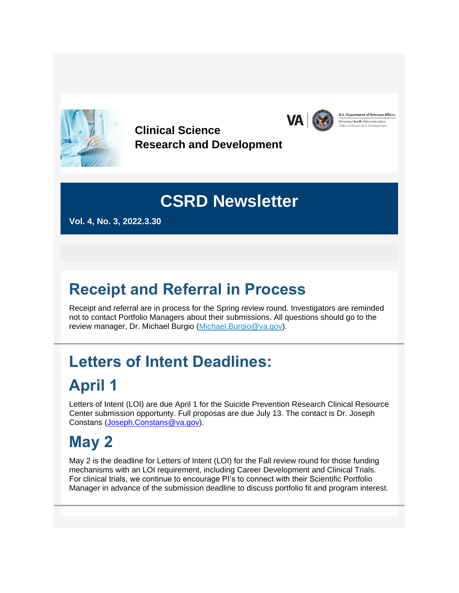

**Clinical Science Research and Development**



U.S. Department of Veterans Affairs Veterans Health Administration

## **CSRD Newsletter**

**Vol. 4, No. 3, 2022.3.30**

## **Receipt and Referral in Process**

Receipt and referral are in process for the Spring review round. Investigators are reminded not to contact Portfolio Managers about their submissions. All questions should go to the review manager, Dr. Michael Burgio [\(Michael.Burgio@va.gov\)](mailto:Michael.Burgio@va.gov).

# **Letters of Intent Deadlines:**

## **April 1**

Letters of Intent (LOI) are due April 1 for the Suicide Prevention Research Clinical Resource Center submission opportunty. Full proposas are due July 13. The contact is Dr. Joseph Constans [\(Joseph.Constans@va.gov\)](mailto:Joseph.Constans@va.gov).

## **May 2**

May 2 is the deadline for Letters of Intent (LOI) for the Fall review round for those funding mechanisms with an LOI requirement, including Career Development and Clinical Trials. For clinical trials, we continue to encourage PI's to connect with their Scientific Portfolio Manager in advance of the submission deadline to discuss portfolio fit and program interest.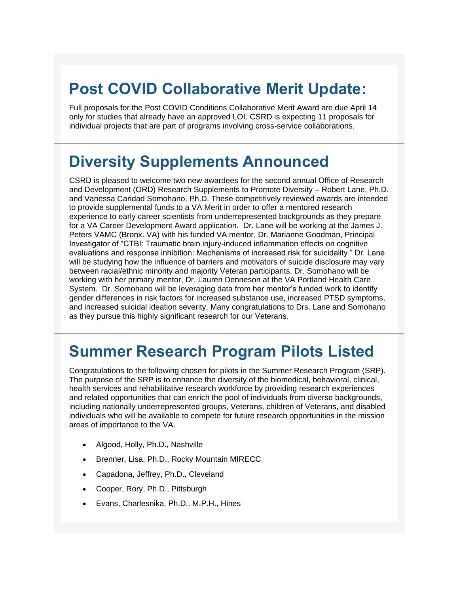### **Post COVID Collaborative Merit Update:**

Full proposals for the Post COVID Conditions Collaborative Merit Award are due April 14 only for studies that already have an approved LOI. CSRD is expecting 11 proposals for individual projects that are part of programs involving cross-service collaborations.

#### **Diversity Supplements Announced**

CSRD is pleased to welcome two new awardees for the second annual Office of Research and Development (ORD) Research Supplements to Promote Diversity – Robert Lane, Ph.D. and Vanessa Caridad Somohano, Ph.D. These competitively reviewed awards are intended to provide supplemental funds to a VA Merit in order to offer a mentored research experience to early career scientists from underrepresented backgrounds as they prepare for a VA Career Development Award application. Dr. Lane will be working at the James J. Peters VAMC (Bronx. VA) with his funded VA mentor, Dr. Marianne Goodman, Principal Investigator of "CTBI: Traumatic brain injury-induced inflammation effects on cognitive evaluations and response inhibition: Mechanisms of increased risk for suicidality." Dr. Lane will be studying how the influence of barriers and motivators of suicide disclosure may vary between racial/ethnic minority and majority Veteran participants. Dr. Somohano will be working with her primary mentor, Dr. Lauren Denneson at the VA Portland Health Care System. Dr. Somohano will be leveraging data from her mentor's funded work to identify gender differences in risk factors for increased substance use, increased PTSD symptoms, and increased suicidal ideation severity. Many congratulations to Drs. Lane and Somohano as they pursue this highly significant research for our Veterans.

### **Summer Research Program Pilots Listed**

Congratulations to the following chosen for pilots in the Summer Research Program (SRP). The purpose of the SRP is to enhance the diversity of the biomedical, behavioral, clinical, health services and rehabilitative research workforce by providing research experiences and related opportunities that can enrich the pool of individuals from diverse backgrounds, including nationally underrepresented groups, Veterans, children of Veterans, and disabled individuals who will be available to compete for future research opportunities in the mission areas of importance to the VA.

- Algood, Holly, Ph.D., Nashville
- Brenner, Lisa, Ph.D., Rocky Mountain MIRECC
- Capadona, Jeffrey, Ph.D., Cleveland
- Cooper, Rory, Ph.D., Pittsburgh
- Evans, Charlesnika, Ph.D.. M.P.H., Hines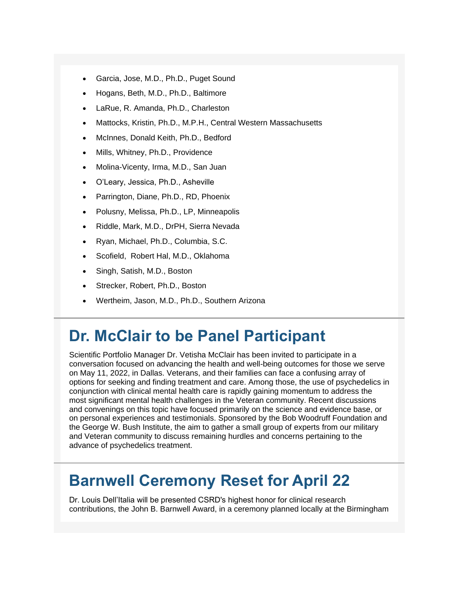- Garcia, Jose, M.D., Ph.D., Puget Sound
- Hogans, Beth, M.D., Ph.D., Baltimore
- LaRue, R. Amanda, Ph.D., Charleston
- Mattocks, Kristin, Ph.D., M.P.H., Central Western Massachusetts
- McInnes, Donald Keith, Ph.D., Bedford
- Mills, Whitney, Ph.D., Providence
- Molina-Vicenty, Irma, M.D., San Juan
- O'Leary, Jessica, Ph.D., Asheville
- Parrington, Diane, Ph.D., RD, Phoenix
- Polusny, Melissa, Ph.D., LP, Minneapolis
- Riddle, Mark, M.D., DrPH, Sierra Nevada
- Ryan, Michael, Ph.D., Columbia, S.C.
- Scofield, Robert Hal, M.D., Oklahoma
- Singh, Satish, M.D., Boston
- Strecker, Robert, Ph.D., Boston
- Wertheim, Jason, M.D., Ph.D., Southern Arizona

#### **Dr. McClair to be Panel Participant**

Scientific Portfolio Manager Dr. Vetisha McClair has been invited to participate in a conversation focused on advancing the health and well-being outcomes for those we serve on May 11, 2022, in Dallas. Veterans, and their families can face a confusing array of options for seeking and finding treatment and care. Among those, the use of psychedelics in conjunction with clinical mental health care is rapidly gaining momentum to address the most significant mental health challenges in the Veteran community. Recent discussions and convenings on this topic have focused primarily on the science and evidence base, or on personal experiences and testimonials. Sponsored by the Bob Woodruff Foundation and the George W. Bush Institute, the aim to gather a small group of experts from our military and Veteran community to discuss remaining hurdles and concerns pertaining to the advance of psychedelics treatment.

### **Barnwell Ceremony Reset for April 22**

Dr. Louis Dell'Italia will be presented CSRD's highest honor for clinical research contributions, the John B. Barnwell Award, in a ceremony planned locally at the Birmingham